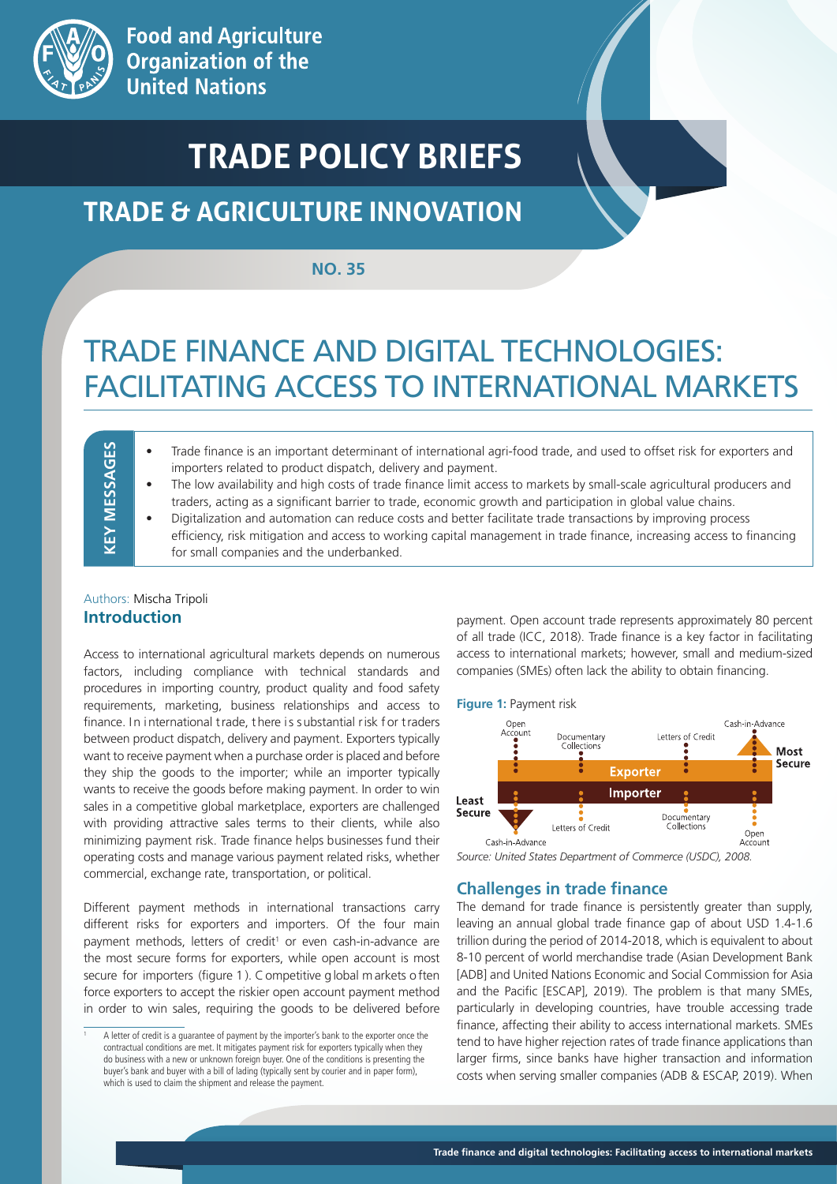

# **TRADE POLICY BRIEFS**

## **TRADE & AGRICULTURE INNOVATION**

#### **NO. 35**

# TRADE FINANCE AND DIGITAL TECHNOLOGIES: FACILITATING ACCESS TO INTERNATIONAL MARKETS

- Trade finance is an important determinant of international agri-food trade, and used to offset risk for exporters and importers related to product dispatch, delivery and payment.
- The low availability and high costs of trade finance limit access to markets by small-scale agricultural producers and traders, acting as a significant barrier to trade, economic growth and participation in global value chains.
- Digitalization and automation can reduce costs and better facilitate trade transactions by improving process efficiency, risk mitigation and access to working capital management in trade finance, increasing access to financing for small companies and the underbanked.

### Authors: Mischa Tripoli **Introduction**

**KEY MESSAGES**

**KEY MESSAGES** 

Access to international agricultural markets depends on numerous factors, including compliance with technical standards and procedures in importing country, product quality and food safety requirements, marketing, business relationships and access to finance. In international trade, there is substantial risk for traders between product dispatch, delivery and payment. Exporters typically want to receive payment when a purchase order is placed and before they ship the goods to the importer; while an importer typically wants to receive the goods before making payment. In order to win sales in a competitive global marketplace, exporters are challenged with providing attractive sales terms to their clients, while also minimizing payment risk. Trade finance helps businesses fund their operating costs and manage various payment related risks, whether commercial, exchange rate, transportation, or political.

Different payment methods in international transactions carry different risks for exporters and importers. Of the four main payment methods, letters of credit<sup>1</sup> or even cash-in-advance are the most secure forms for exporters, while open account is most secure for importers (figure 1 ). C ompetitive g lobal m arkets o ften force exporters to accept the riskier open account payment method in order to win sales, requiring the goods to be delivered before payment. Open account trade represents approximately 80 percent of all trade (ICC, 2018). Trade finance is a key factor in facilitating access to international markets; however, small and medium-sized companies (SMEs) often lack the ability to obtain financing.





#### **Challenges in trade finance**

The demand for trade finance is persistently greater than supply, leaving an annual global trade finance gap of about USD 1.4-1.6 trillion during the period of 2014-2018, which is equivalent to about 8-10 percent of world merchandise trade (Asian Development Bank [ADB] and United Nations Economic and Social Commission for Asia and the Pacific [ESCAP], 2019). The problem is that many SMEs, particularly in developing countries, have trouble accessing trade finance, affecting their ability to access international markets. SMEs tend to have higher rejection rates of trade finance applications than larger firms, since banks have higher transaction and information costs when serving smaller companies (ADB & ESCAP, 2019). When

A letter of credit is a guarantee of payment by the importer's bank to the exporter once the contractual conditions are met. It mitigates payment risk for exporters typically when they do business with a new or unknown foreign buyer. One of the conditions is presenting the buyer's bank and buyer with a bill of lading (typically sent by courier and in paper form), which is used to claim the shipment and release the payment.